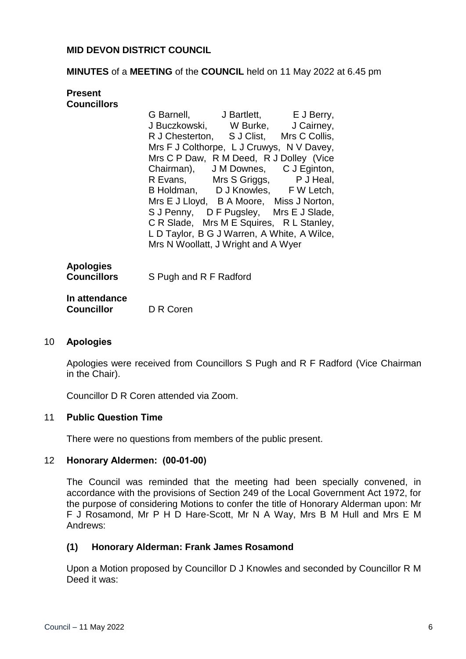# **MID DEVON DISTRICT COUNCIL**

### **MINUTES** of a **MEETING** of the **COUNCIL** held on 11 May 2022 at 6.45 pm

# **Present Councillors** G Barnell, J Bartlett, E J Berry,

|  | G Darriell, U Darliett, E J Derry,        |                                             |
|--|-------------------------------------------|---------------------------------------------|
|  |                                           | J Buczkowski, W Burke, J Cairney,           |
|  |                                           | R J Chesterton, S J Clist, Mrs C Collis,    |
|  | Mrs F J Colthorpe, L J Cruwys, N V Davey, |                                             |
|  | Mrs C P Daw, R M Deed, R J Dolley (Vice   |                                             |
|  | Chairman), J M Downes,                    | C J Eginton,                                |
|  |                                           | R Evans, Mrs S Griggs, P J Heal,            |
|  | B Holdman, D J Knowles, F W Letch,        |                                             |
|  | Mrs E J Lloyd, B A Moore, Miss J Norton,  |                                             |
|  |                                           | S J Penny, D F Pugsley, Mrs E J Slade,      |
|  |                                           | C R Slade, Mrs M E Squires, R L Stanley,    |
|  |                                           | L D Taylor, B G J Warren, A White, A Wilce, |
|  | Mrs N Woollatt, J Wright and A Wyer       |                                             |
|  |                                           |                                             |

| <b>Apologies</b> |                        |
|------------------|------------------------|
| Councillors      | S Pugh and R F Radford |

#### **In attendance Councillor** D R Coren

# 10 **Apologies**

Apologies were received from Councillors S Pugh and R F Radford (Vice Chairman in the Chair).

Councillor D R Coren attended via Zoom.

# 11 **Public Question Time**

There were no questions from members of the public present.

#### 12 **Honorary Aldermen: (00-01-00)**

The Council was reminded that the meeting had been specially convened, in accordance with the provisions of Section 249 of the Local Government Act 1972, for the purpose of considering Motions to confer the title of Honorary Alderman upon: Mr F J Rosamond, Mr P H D Hare-Scott, Mr N A Way, Mrs B M Hull and Mrs E M Andrews:

# **(1) Honorary Alderman: Frank James Rosamond**

Upon a Motion proposed by Councillor D J Knowles and seconded by Councillor R M Deed it was: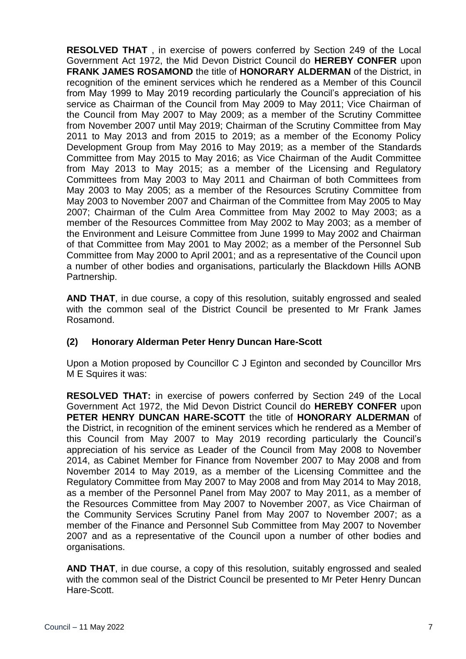**RESOLVED THAT** , in exercise of powers conferred by Section 249 of the Local Government Act 1972, the Mid Devon District Council do **HEREBY CONFER** upon **FRANK JAMES ROSAMOND** the title of **HONORARY ALDERMAN** of the District, in recognition of the eminent services which he rendered as a Member of this Council from May 1999 to May 2019 recording particularly the Council's appreciation of his service as Chairman of the Council from May 2009 to May 2011; Vice Chairman of the Council from May 2007 to May 2009; as a member of the Scrutiny Committee from November 2007 until May 2019; Chairman of the Scrutiny Committee from May 2011 to May 2013 and from 2015 to 2019; as a member of the Economy Policy Development Group from May 2016 to May 2019; as a member of the Standards Committee from May 2015 to May 2016; as Vice Chairman of the Audit Committee from May 2013 to May 2015; as a member of the Licensing and Regulatory Committees from May 2003 to May 2011 and Chairman of both Committees from May 2003 to May 2005; as a member of the Resources Scrutiny Committee from May 2003 to November 2007 and Chairman of the Committee from May 2005 to May 2007; Chairman of the Culm Area Committee from May 2002 to May 2003; as a member of the Resources Committee from May 2002 to May 2003; as a member of the Environment and Leisure Committee from June 1999 to May 2002 and Chairman of that Committee from May 2001 to May 2002; as a member of the Personnel Sub Committee from May 2000 to April 2001; and as a representative of the Council upon a number of other bodies and organisations, particularly the Blackdown Hills AONB Partnership.

**AND THAT**, in due course, a copy of this resolution, suitably engrossed and sealed with the common seal of the District Council be presented to Mr Frank James Rosamond.

# **(2) Honorary Alderman Peter Henry Duncan Hare-Scott**

Upon a Motion proposed by Councillor C J Eginton and seconded by Councillor Mrs M E Squires it was:

**RESOLVED THAT:** in exercise of powers conferred by Section 249 of the Local Government Act 1972, the Mid Devon District Council do **HEREBY CONFER** upon **PETER HENRY DUNCAN HARE-SCOTT** the title of **HONORARY ALDERMAN** of the District, in recognition of the eminent services which he rendered as a Member of this Council from May 2007 to May 2019 recording particularly the Council's appreciation of his service as Leader of the Council from May 2008 to November 2014, as Cabinet Member for Finance from November 2007 to May 2008 and from November 2014 to May 2019, as a member of the Licensing Committee and the Regulatory Committee from May 2007 to May 2008 and from May 2014 to May 2018, as a member of the Personnel Panel from May 2007 to May 2011, as a member of the Resources Committee from May 2007 to November 2007, as Vice Chairman of the Community Services Scrutiny Panel from May 2007 to November 2007; as a member of the Finance and Personnel Sub Committee from May 2007 to November 2007 and as a representative of the Council upon a number of other bodies and organisations.

**AND THAT**, in due course, a copy of this resolution, suitably engrossed and sealed with the common seal of the District Council be presented to Mr Peter Henry Duncan Hare-Scott.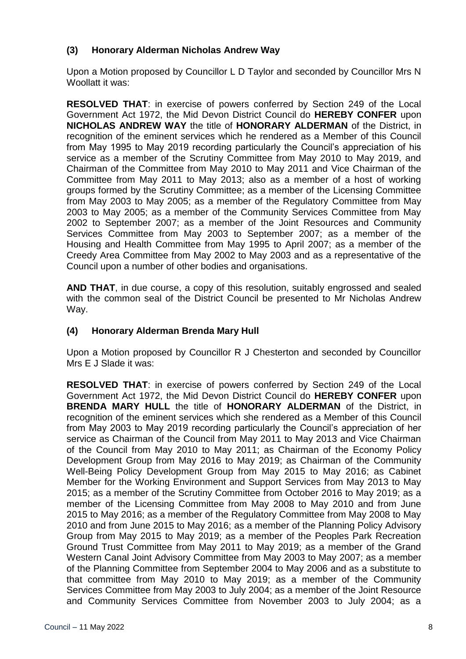# **(3) Honorary Alderman Nicholas Andrew Way**

Upon a Motion proposed by Councillor L D Taylor and seconded by Councillor Mrs N Woollatt it was:

**RESOLVED THAT**: in exercise of powers conferred by Section 249 of the Local Government Act 1972, the Mid Devon District Council do **HEREBY CONFER** upon **NICHOLAS ANDREW WAY** the title of **HONORARY ALDERMAN** of the District, in recognition of the eminent services which he rendered as a Member of this Council from May 1995 to May 2019 recording particularly the Council's appreciation of his service as a member of the Scrutiny Committee from May 2010 to May 2019, and Chairman of the Committee from May 2010 to May 2011 and Vice Chairman of the Committee from May 2011 to May 2013; also as a member of a host of working groups formed by the Scrutiny Committee; as a member of the Licensing Committee from May 2003 to May 2005; as a member of the Regulatory Committee from May 2003 to May 2005; as a member of the Community Services Committee from May 2002 to September 2007; as a member of the Joint Resources and Community Services Committee from May 2003 to September 2007; as a member of the Housing and Health Committee from May 1995 to April 2007; as a member of the Creedy Area Committee from May 2002 to May 2003 and as a representative of the Council upon a number of other bodies and organisations.

**AND THAT**, in due course, a copy of this resolution, suitably engrossed and sealed with the common seal of the District Council be presented to Mr Nicholas Andrew Way.

# **(4) Honorary Alderman Brenda Mary Hull**

Upon a Motion proposed by Councillor R J Chesterton and seconded by Councillor Mrs E J Slade it was:

**RESOLVED THAT**: in exercise of powers conferred by Section 249 of the Local Government Act 1972, the Mid Devon District Council do **HEREBY CONFER** upon **BRENDA MARY HULL** the title of **HONORARY ALDERMAN** of the District, in recognition of the eminent services which she rendered as a Member of this Council from May 2003 to May 2019 recording particularly the Council's appreciation of her service as Chairman of the Council from May 2011 to May 2013 and Vice Chairman of the Council from May 2010 to May 2011; as Chairman of the Economy Policy Development Group from May 2016 to May 2019; as Chairman of the Community Well-Being Policy Development Group from May 2015 to May 2016; as Cabinet Member for the Working Environment and Support Services from May 2013 to May 2015; as a member of the Scrutiny Committee from October 2016 to May 2019; as a member of the Licensing Committee from May 2008 to May 2010 and from June 2015 to May 2016; as a member of the Regulatory Committee from May 2008 to May 2010 and from June 2015 to May 2016; as a member of the Planning Policy Advisory Group from May 2015 to May 2019; as a member of the Peoples Park Recreation Ground Trust Committee from May 2011 to May 2019; as a member of the Grand Western Canal Joint Advisory Committee from May 2003 to May 2007; as a member of the Planning Committee from September 2004 to May 2006 and as a substitute to that committee from May 2010 to May 2019; as a member of the Community Services Committee from May 2003 to July 2004; as a member of the Joint Resource and Community Services Committee from November 2003 to July 2004; as a